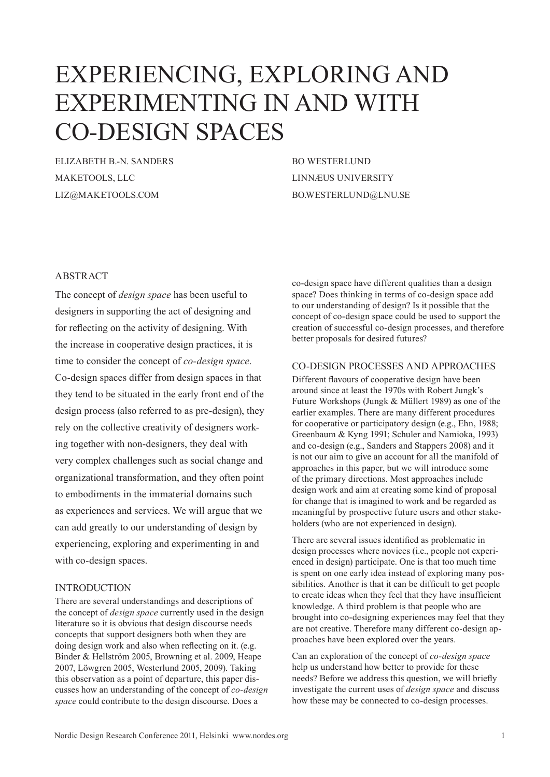# EXPERIENCING, EXPLORING AND EXPERIMENTING IN AND WITH CO-DESIGN SPACES

ELIZABETH B.-N. SANDERS MAKETOOLS, LLC LIZ@MAKETOOLS.COM

BO WESTERLUND LINNÆUS UNIVERSITY BO.WESTERLUND@LNU.SE

### ABSTRACT

The concept of *design space* has been useful to designers in supporting the act of designing and for reflecting on the activity of designing. With the increase in cooperative design practices, it is time to consider the concept of *co-design space*. Co-design spaces differ from design spaces in that they tend to be situated in the early front end of the design process (also referred to as pre-design), they rely on the collective creativity of designers working together with non-designers, they deal with very complex challenges such as social change and organizational transformation, and they often point to embodiments in the immaterial domains such as experiences and services. We will argue that we can add greatly to our understanding of design by experiencing, exploring and experimenting in and with co-design spaces.

#### INTRODUCTION

There are several understandings and descriptions of the concept of *design space* currently used in the design literature so it is obvious that design discourse needs concepts that support designers both when they are doing design work and also when reflecting on it. (e.g. Binder & Hellström 2005, Browning et al. 2009, Heape 2007, Löwgren 2005, Westerlund 2005, 2009). Taking this observation as a point of departure, this paper discusses how an understanding of the concept of *co-design space* could contribute to the design discourse. Does a

co-design space have different qualities than a design space? Does thinking in terms of co-design space add to our understanding of design? Is it possible that the concept of co-design space could be used to support the creation of successful co-design processes, and therefore better proposals for desired futures?

#### CO-DESIGN PROCESSES AND APPROACHES

Different flavours of cooperative design have been around since at least the 1970s with Robert Jungk's Future Workshops (Jungk & Müllert 1989) as one of the earlier examples. There are many different procedures for cooperative or participatory design (e.g., Ehn, 1988; Greenbaum & Kyng 1991; Schuler and Namioka, 1993) and co-design (e.g., Sanders and Stappers 2008) and it is not our aim to give an account for all the manifold of approaches in this paper, but we will introduce some of the primary directions. Most approaches include design work and aim at creating some kind of proposal for change that is imagined to work and be regarded as meaningful by prospective future users and other stakeholders (who are not experienced in design).

There are several issues identified as problematic in design processes where novices (i.e., people not experienced in design) participate. One is that too much time is spent on one early idea instead of exploring many possibilities. Another is that it can be difficult to get people to create ideas when they feel that they have insufficient knowledge. A third problem is that people who are brought into co-designing experiences may feel that they are not creative. Therefore many different co-design approaches have been explored over the years.

Can an exploration of the concept of *co-design space* help us understand how better to provide for these needs? Before we address this question, we will briefly investigate the current uses of *design space* and discuss how these may be connected to co-design processes.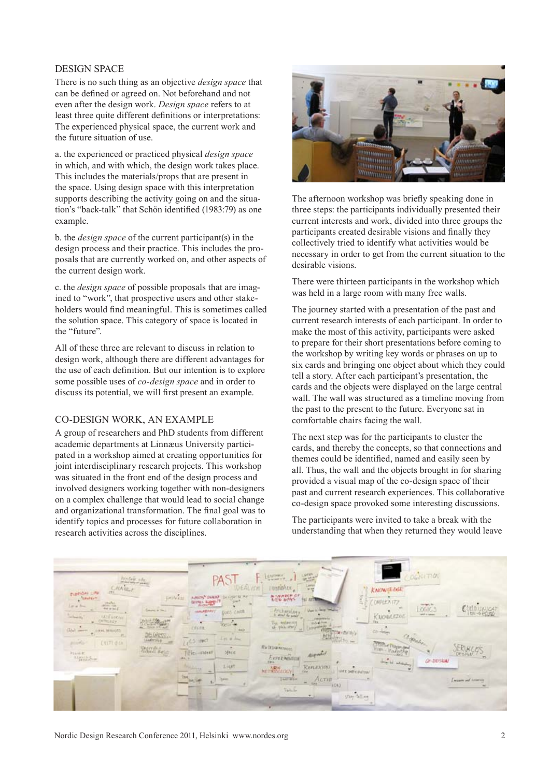#### DESIGN SPACE

There is no such thing as an objective *design space* that can be defined or agreed on. Not beforehand and not even after the design work. *Design space* refers to at least three quite different definitions or interpretations: The experienced physical space, the current work and the future situation of use.

a. the experienced or practiced physical *design space*  in which, and with which, the design work takes place. This includes the materials/props that are present in the space. Using design space with this interpretation supports describing the activity going on and the situation's "back-talk" that Schön identified (1983:79) as one example.

b. the *design space* of the current participant(s) in the design process and their practice. This includes the proposals that are currently worked on, and other aspects of the current design work.

c. the *design space* of possible proposals that are imagined to "work", that prospective users and other stakeholders would find meaningful. This is sometimes called the solution space. This category of space is located in the "future".

All of these three are relevant to discuss in relation to design work, although there are different advantages for the use of each definition. But our intention is to explore some possible uses of *co-design space* and in order to discuss its potential, we will first present an example.

#### CO-DESIGN WORK, AN EXAMPLE

A group of researchers and PhD students from different academic departments at Linnæus University participated in a workshop aimed at creating opportunities for joint interdisciplinary research projects. This workshop was situated in the front end of the design process and involved designers working together with non-designers on a complex challenge that would lead to social change and organizational transformation. The final goal was to identify topics and processes for future collaboration in research activities across the disciplines.



The afternoon workshop was briefly speaking done in three steps: the participants individually presented their current interests and work, divided into three groups the participants created desirable visions and finally they collectively tried to identify what activities would be necessary in order to get from the current situation to the desirable visions.

There were thirteen participants in the workshop which was held in a large room with many free walls.

The journey started with a presentation of the past and current research interests of each participant. In order to make the most of this activity, participants were asked to prepare for their short presentations before coming to the workshop by writing key words or phrases on up to six cards and bringing one object about which they could tell a story. After each participant's presentation, the cards and the objects were displayed on the large central wall. The wall was structured as a timeline moving from the past to the present to the future. Everyone sat in comfortable chairs facing the wall.

The next step was for the participants to cluster the cards, and thereby the concepts, so that connections and themes could be identified, named and easily seen by all. Thus, the wall and the objects brought in for sharing provided a visual map of the co-design space of their past and current research experiences. This collaborative co-design space provoked some interesting discussions.

The participants were invited to take a break with the understanding that when they returned they would leave

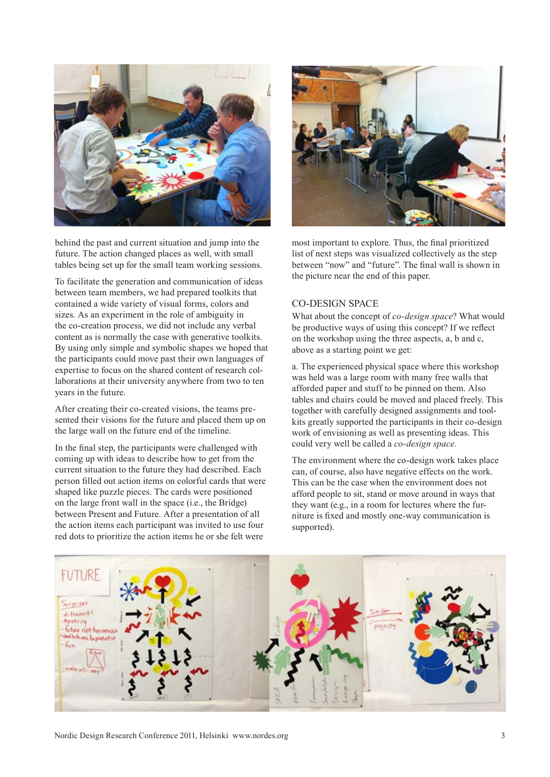

behind the past and current situation and jump into the future. The action changed places as well, with small tables being set up for the small team working sessions.

To facilitate the generation and communication of ideas between team members, we had prepared toolkits that contained a wide variety of visual forms, colors and sizes. As an experiment in the role of ambiguity in the co-creation process, we did not include any verbal content as is normally the case with generative toolkits. By using only simple and symbolic shapes we hoped that the participants could move past their own languages of expertise to focus on the shared content of research collaborations at their university anywhere from two to ten years in the future.

After creating their co-created visions, the teams presented their visions for the future and placed them up on the large wall on the future end of the timeline.

In the final step, the participants were challenged with coming up with ideas to describe how to get from the current situation to the future they had described. Each person filled out action items on colorful cards that were shaped like puzzle pieces. The cards were positioned on the large front wall in the space (i.e., the Bridge) between Present and Future. After a presentation of all the action items each participant was invited to use four red dots to prioritize the action items he or she felt were



most important to explore. Thus, the final prioritized list of next steps was visualized collectively as the step between "now" and "future". The final wall is shown in the picture near the end of this paper.

## CO-DESIGN SPACE

What about the concept of *co-design space*? What would be productive ways of using this concept? If we reflect on the workshop using the three aspects, a, b and c, above as a starting point we get:

a. The experienced physical space where this workshop was held was a large room with many free walls that afforded paper and stuff to be pinned on them. Also tables and chairs could be moved and placed freely. This together with carefully designed assignments and toolkits greatly supported the participants in their co-design work of envisioning as well as presenting ideas. This could very well be called a *co-design space.*

The environment where the co-design work takes place can, of course, also have negative effects on the work. This can be the case when the environment does not afford people to sit, stand or move around in ways that they want (e.g., in a room for lectures where the furniture is fixed and mostly one-way communication is supported).

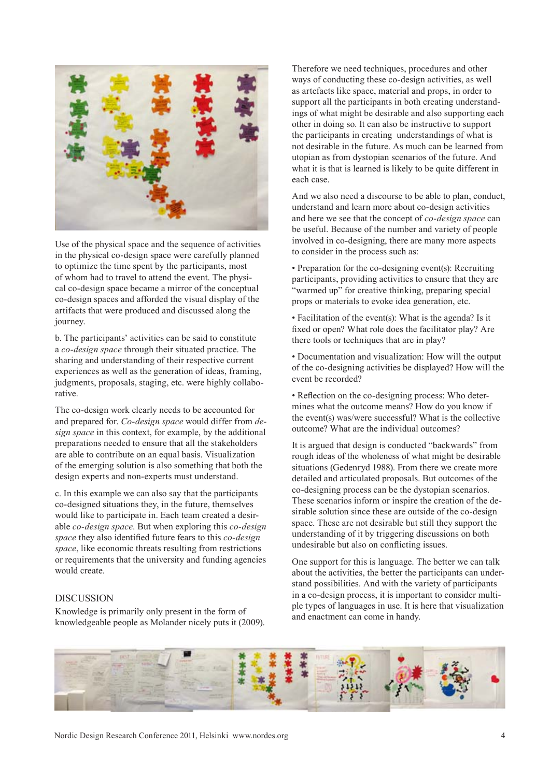

Use of the physical space and the sequence of activities in the physical co-design space were carefully planned to optimize the time spent by the participants, most of whom had to travel to attend the event. The physical co-design space became a mirror of the conceptual co-design spaces and afforded the visual display of the artifacts that were produced and discussed along the journey.

b. The participants' activities can be said to constitute a *co-design space* through their situated practice. The sharing and understanding of their respective current experiences as well as the generation of ideas, framing, judgments, proposals, staging, etc. were highly collaborative.

The co-design work clearly needs to be accounted for and prepared for. *Co-design space* would differ from *design space* in this context, for example, by the additional preparations needed to ensure that all the stakeholders are able to contribute on an equal basis. Visualization of the emerging solution is also something that both the design experts and non-experts must understand.

c. In this example we can also say that the participants co-designed situations they, in the future, themselves would like to participate in. Each team created a desirable *co-design space*. But when exploring this *co-design space* they also identified future fears to this *co-design space*, like economic threats resulting from restrictions or requirements that the university and funding agencies would create.

#### **DISCUSSION**

Knowledge is primarily only present in the form of knowledgeable people as Molander nicely puts it (2009). Therefore we need techniques, procedures and other ways of conducting these co-design activities, as well as artefacts like space, material and props, in order to support all the participants in both creating understandings of what might be desirable and also supporting each other in doing so. It can also be instructive to support the participants in creating understandings of what is not desirable in the future. As much can be learned from utopian as from dystopian scenarios of the future. And what it is that is learned is likely to be quite different in each case.

And we also need a discourse to be able to plan, conduct, understand and learn more about co-design activities and here we see that the concept of *co-design space* can be useful. Because of the number and variety of people involved in co-designing, there are many more aspects to consider in the process such as:

• Preparation for the co-designing event(s): Recruiting participants, providing activities to ensure that they are "warmed up" for creative thinking, preparing special props or materials to evoke idea generation, etc.

• Facilitation of the event(s): What is the agenda? Is it fixed or open? What role does the facilitator play? Are there tools or techniques that are in play?

• Documentation and visualization: How will the output of the co-designing activities be displayed? How will the event be recorded?

• Reflection on the co-designing process: Who determines what the outcome means? How do you know if the event(s) was/were successful? What is the collective outcome? What are the individual outcomes?

It is argued that design is conducted "backwards" from rough ideas of the wholeness of what might be desirable situations (Gedenryd 1988). From there we create more detailed and articulated proposals. But outcomes of the co-designing process can be the dystopian scenarios. These scenarios inform or inspire the creation of the desirable solution since these are outside of the co-design space. These are not desirable but still they support the understanding of it by triggering discussions on both undesirable but also on conflicting issues.

One support for this is language. The better we can talk about the activities, the better the participants can understand possibilities. And with the variety of participants in a co-design process, it is important to consider multiple types of languages in use. It is here that visualization and enactment can come in handy.